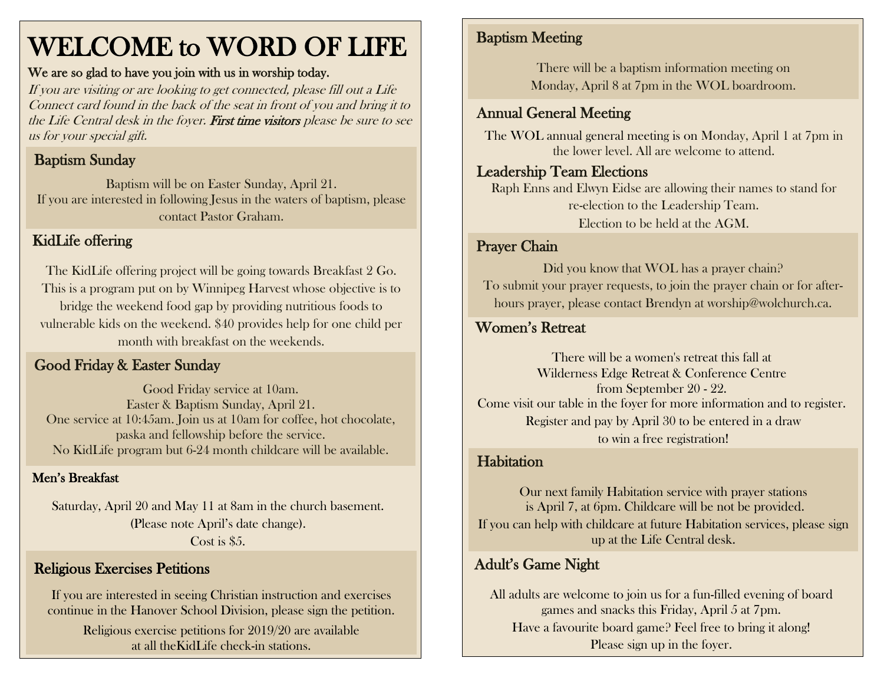## WELCOME to WORD OF LIFE

#### We are so glad to have you join with us in worship today.

If you are visiting or are looking to get connected, please fill out a Life Connect card found in the back of the seat in front of you and bring it to the Life Central desk in the foyer. First time visitors please be sure to see us for your special gift.

## Baptism Sunday

Baptism will be on Easter Sunday, April 21. If you are interested in following Jesus in the waters of baptism, please contact Pastor Graham.

#### KidLife offering

The KidLife offering project will be going towards Breakfast 2 Go. This is a program put on by Winnipeg Harvest whose objective is to bridge the weekend food gap by providing nutritious foods to vulnerable kids on the weekend. \$40 provides help for one child per month with breakfast on the weekends.

#### Good Friday & Easter Sunday

Good Friday service at 10am. Easter & Baptism Sunday, April 21. One service at 10:45am. Join us at 10am for coffee, hot chocolate, paska and fellowship before the service. No KidLife program but 6-24 month childcare will be available.

#### Men's Breakfast

Saturday, April 20 and May 11 at 8am in the church basement. (Please note April's date change). Cost is \$5.

#### Religious Exercises Petitions

If you are interested in seeing Christian instruction and exercises continue in the Hanover School Division, please sign the petition.

Religious exercise petitions for 2019/20 are available at all theKidLife check-in stations.

### Baptism Meeting

There will be a baptism information meeting on Monday, April 8 at 7pm in the WOL boardroom.

#### Annual General Meeting

The WOL annual general meeting is on Monday, April 1 at 7pm in the lower level. All are welcome to attend.

#### Leadership Team Elections

Raph Enns and Elwyn Eidse are allowing their names to stand for re-election to the Leadership Team. Election to be held at the AGM.

#### Prayer Chain

Did you know that WOL has a prayer chain? To submit your prayer requests, to join the prayer chain or for afterhours prayer, please contact Brendyn at worship@wolchurch.ca.

#### Women's Retreat

There will be a women's retreat this fall at Wilderness Edge Retreat & Conference Centre from September 20 - 22. Come visit our table in the foyer for more information and to register. Register and pay by April 30 to be entered in a draw to win a free registration!

#### **Habitation**

Our next family Habitation service with prayer stations is April 7, at 6pm. Childcare will be not be provided. If you can help with childcare at future Habitation services, please sign up at the Life Central desk.

## Adult's Game Night

All adults are welcome to join us for a fun-filled evening of board games and snacks this Friday, April 5 at 7pm. Have a favourite board game? Feel free to bring it along! Please sign up in the foyer.